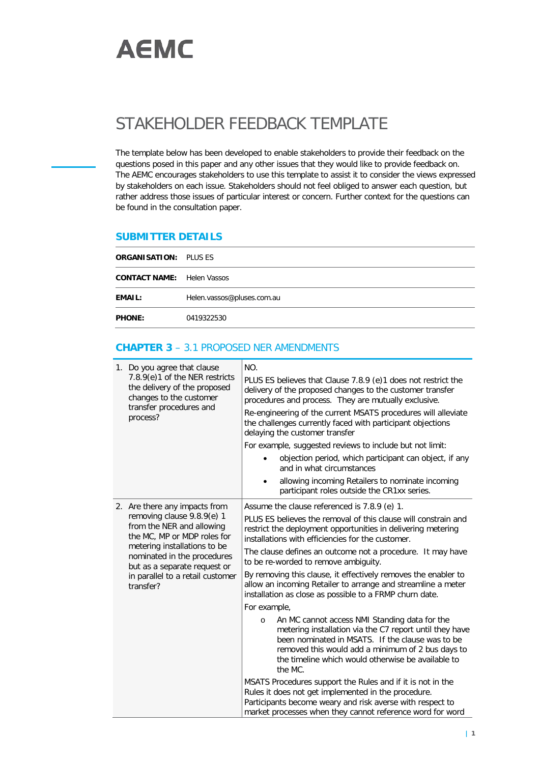

## STAKEHOLDER FEEDBACK TEMPLATE

The template below has been developed to enable stakeholders to provide their feedback on the questions posed in this paper and any other issues that they would like to provide feedback on. The AEMC encourages stakeholders to use this template to assist it to consider the views expressed by stakeholders on each issue. Stakeholders should not feel obliged to answer each question, but rather address those issues of particular interest or concern. Further context for the questions can be found in the consultation paper.

## **SUBMITTER DETAILS**

| <b>ORGANISATION: PLUS ES</b>      |                            |
|-----------------------------------|----------------------------|
| <b>CONTACT NAME:</b> Helen Vassos |                            |
| <b>EMAIL:</b>                     | Helen.vassos@pluses.com.au |
| <b>PHONE:</b>                     | 0419322530                 |

## **CHAPTER 3** – 3.1 PROPOSED NER AMENDMENTS

| 1. Do you agree that clause<br>7.8.9(e)1 of the NER restricts<br>the delivery of the proposed<br>changes to the customer<br>transfer procedures and<br>process?                                                                                                         | NO.<br>PLUS ES believes that Clause 7.8.9 (e)1 does not restrict the<br>delivery of the proposed changes to the customer transfer<br>procedures and process. They are mutually exclusive.<br>Re-engineering of the current MSATS procedures will alleviate<br>the challenges currently faced with participant objections<br>delaying the customer transfer<br>For example, suggested reviews to include but not limit:<br>objection period, which participant can object, if any<br>and in what circumstances<br>allowing incoming Retailers to nominate incoming<br>$\bullet$<br>participant roles outside the CR1xx series.                                                                                                                                                                                                                                                                                                                                                                                                                                                                          |
|-------------------------------------------------------------------------------------------------------------------------------------------------------------------------------------------------------------------------------------------------------------------------|--------------------------------------------------------------------------------------------------------------------------------------------------------------------------------------------------------------------------------------------------------------------------------------------------------------------------------------------------------------------------------------------------------------------------------------------------------------------------------------------------------------------------------------------------------------------------------------------------------------------------------------------------------------------------------------------------------------------------------------------------------------------------------------------------------------------------------------------------------------------------------------------------------------------------------------------------------------------------------------------------------------------------------------------------------------------------------------------------------|
| 2. Are there any impacts from<br>removing clause 9.8.9(e) 1<br>from the NER and allowing<br>the MC, MP or MDP roles for<br>metering installations to be<br>nominated in the procedures<br>but as a separate request or<br>in parallel to a retail customer<br>transfer? | Assume the clause referenced is 7.8.9 (e) 1.<br>PLUS ES believes the removal of this clause will constrain and<br>restrict the deployment opportunities in delivering metering<br>installations with efficiencies for the customer.<br>The clause defines an outcome not a procedure. It may have<br>to be re-worded to remove ambiguity.<br>By removing this clause, it effectively removes the enabler to<br>allow an incoming Retailer to arrange and streamline a meter<br>installation as close as possible to a FRMP churn date.<br>For example,<br>An MC cannot access NMI Standing data for the<br>$\circ$<br>metering installation via the C7 report until they have<br>been nominated in MSATS. If the clause was to be<br>removed this would add a minimum of 2 bus days to<br>the timeline which would otherwise be available to<br>the MC.<br>MSATS Procedures support the Rules and if it is not in the<br>Rules it does not get implemented in the procedure.<br>Participants become weary and risk averse with respect to<br>market processes when they cannot reference word for word |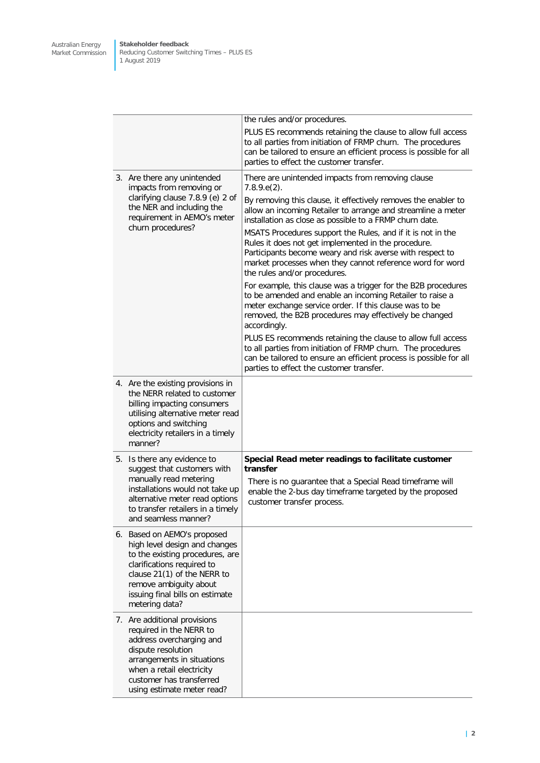**Stakeholder feedback** Reducing Customer Switching Times – PLUS ES 1 August 2019

|  |                                                                                                                                                                                                                                             | the rules and/or procedures.                                                                                                                                                                                                                                                                                                                                                                                                                                                                                                                                                                                                                                                                                                                                                                                                                                                                                                                                                                                                                                        |  |  |
|--|---------------------------------------------------------------------------------------------------------------------------------------------------------------------------------------------------------------------------------------------|---------------------------------------------------------------------------------------------------------------------------------------------------------------------------------------------------------------------------------------------------------------------------------------------------------------------------------------------------------------------------------------------------------------------------------------------------------------------------------------------------------------------------------------------------------------------------------------------------------------------------------------------------------------------------------------------------------------------------------------------------------------------------------------------------------------------------------------------------------------------------------------------------------------------------------------------------------------------------------------------------------------------------------------------------------------------|--|--|
|  |                                                                                                                                                                                                                                             | PLUS ES recommends retaining the clause to allow full access<br>to all parties from initiation of FRMP churn. The procedures<br>can be tailored to ensure an efficient process is possible for all<br>parties to effect the customer transfer.                                                                                                                                                                                                                                                                                                                                                                                                                                                                                                                                                                                                                                                                                                                                                                                                                      |  |  |
|  | 3. Are there any unintended<br>impacts from removing or<br>clarifying clause 7.8.9 (e) 2 of<br>the NER and including the<br>requirement in AEMO's meter<br>churn procedures?                                                                | There are unintended impacts from removing clause<br>$7.8.9.e(2)$ .<br>By removing this clause, it effectively removes the enabler to<br>allow an incoming Retailer to arrange and streamline a meter<br>installation as close as possible to a FRMP churn date.<br>MSATS Procedures support the Rules, and if it is not in the<br>Rules it does not get implemented in the procedure.<br>Participants become weary and risk averse with respect to<br>market processes when they cannot reference word for word<br>the rules and/or procedures.<br>For example, this clause was a trigger for the B2B procedures<br>to be amended and enable an incoming Retailer to raise a<br>meter exchange service order. If this clause was to be<br>removed, the B2B procedures may effectively be changed<br>accordingly.<br>PLUS ES recommends retaining the clause to allow full access<br>to all parties from initiation of FRMP churn. The procedures<br>can be tailored to ensure an efficient process is possible for all<br>parties to effect the customer transfer. |  |  |
|  | 4. Are the existing provisions in<br>the NERR related to customer<br>billing impacting consumers<br>utilising alternative meter read<br>options and switching<br>electricity retailers in a timely<br>manner?                               |                                                                                                                                                                                                                                                                                                                                                                                                                                                                                                                                                                                                                                                                                                                                                                                                                                                                                                                                                                                                                                                                     |  |  |
|  | 5. Is there any evidence to<br>suggest that customers with<br>manually read metering<br>installations would not take up<br>alternative meter read options<br>to transfer retailers in a timely<br>and seamless manner?                      | Special Read meter readings to facilitate customer<br>transfer<br>There is no guarantee that a Special Read timeframe will<br>enable the 2-bus day timeframe targeted by the proposed<br>customer transfer process.                                                                                                                                                                                                                                                                                                                                                                                                                                                                                                                                                                                                                                                                                                                                                                                                                                                 |  |  |
|  | 6. Based on AEMO's proposed<br>high level design and changes<br>to the existing procedures, are<br>clarifications required to<br>clause 21(1) of the NERR to<br>remove ambiguity about<br>issuing final bills on estimate<br>metering data? |                                                                                                                                                                                                                                                                                                                                                                                                                                                                                                                                                                                                                                                                                                                                                                                                                                                                                                                                                                                                                                                                     |  |  |
|  | 7. Are additional provisions<br>required in the NERR to<br>address overcharging and<br>dispute resolution<br>arrangements in situations<br>when a retail electricity<br>customer has transferred<br>using estimate meter read?              |                                                                                                                                                                                                                                                                                                                                                                                                                                                                                                                                                                                                                                                                                                                                                                                                                                                                                                                                                                                                                                                                     |  |  |